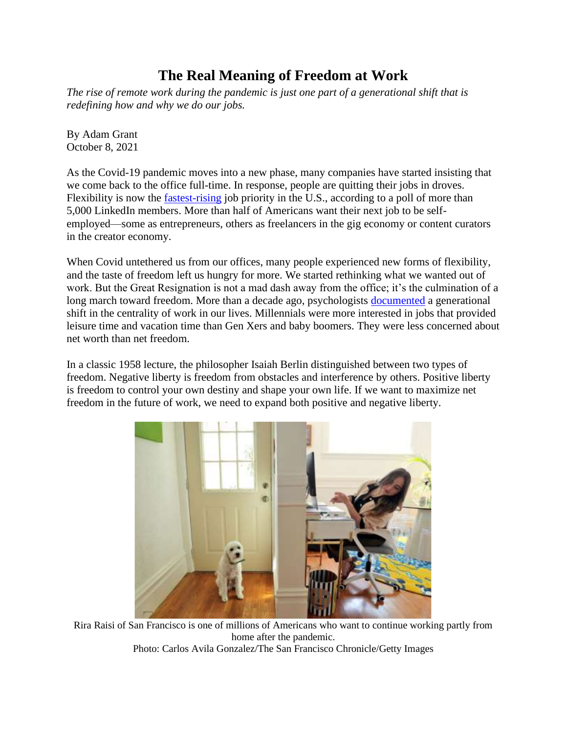## **The Real Meaning of Freedom at Work**

*The rise of remote work during the pandemic is just one part of a generational shift that is redefining how and why we do our jobs.* 

By Adam Grant October 8, 2021

As the Covid-19 pandemic moves into a new phase, many companies have started insisting that we come back to the office full-time. In response, people are quitting their jobs in droves. Flexibility is now the [fastest-rising](https://www.linkedin.com/pulse/how-pandemic-changed-us-our-fastest-rising-priority-job-george-anders/) job priority in the U.S., according to a poll of more than 5,000 LinkedIn members. More than half of Americans want their next job to be selfemployed—some as entrepreneurs, others as freelancers in the gig economy or content curators in the creator economy.

When Covid untethered us from our offices, many people experienced new forms of flexibility, and the taste of freedom left us hungry for more. We started rethinking what we wanted out of work. But the Great Resignation is not a mad dash away from the office; it's the culmination of a long march toward freedom. More than a decade ago, psychologists [documented](https://journals.sagepub.com/doi/abs/10.1177/0149206309352246) a generational shift in the centrality of work in our lives. Millennials were more interested in jobs that provided leisure time and vacation time than Gen Xers and baby boomers. They were less concerned about net worth than net freedom.

In a classic 1958 lecture, the philosopher Isaiah Berlin distinguished between two types of freedom. Negative liberty is freedom from obstacles and interference by others. Positive liberty is freedom to control your own destiny and shape your own life. If we want to maximize net freedom in the future of work, we need to expand both positive and negative liberty.



Rira Raisi of San Francisco is one of millions of Americans who want to continue working partly from home after the pandemic. Photo: Carlos Avila Gonzalez/The San Francisco Chronicle/Getty Images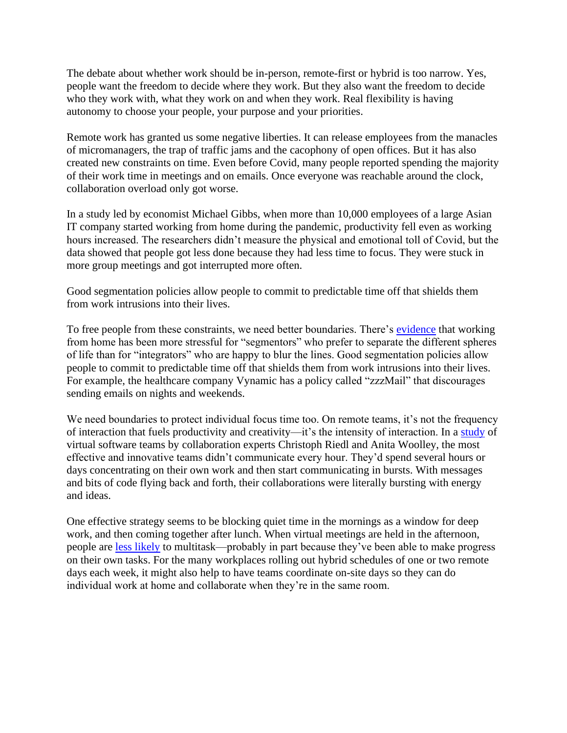The debate about whether work should be in-person, remote-first or hybrid is too narrow. Yes, people want the freedom to decide where they work. But they also want the freedom to decide who they work with, what they work on and when they work. Real flexibility is having autonomy to choose your people, your purpose and your priorities.

Remote work has granted us some negative liberties. It can release employees from the manacles of micromanagers, the trap of traffic jams and the cacophony of open offices. But it has also created new constraints on time. Even before Covid, many people reported spending the majority of their work time in meetings and on emails. Once everyone was reachable around the clock, collaboration overload only got worse.

In a study led by economist Michael Gibbs, when more than 10,000 employees of a large Asian IT company started working from home during the pandemic, productivity fell even as working hours increased. The researchers didn't measure the physical and emotional toll of Covid, but the data showed that people got less done because they had less time to focus. They were stuck in more group meetings and got interrupted more often.

Good segmentation policies allow people to commit to predictable time off that shields them from work intrusions into their lives.

To free people from these constraints, we need better boundaries. There's [evidence](https://psycnet.apa.org/fulltext/2020-64602-001.html) that working from home has been more stressful for "segmentors" who prefer to separate the different spheres of life than for "integrators" who are happy to blur the lines. Good segmentation policies allow people to commit to predictable time off that shields them from work intrusions into their lives. For example, the healthcare company Vynamic has a policy called "zzzMail" that discourages sending emails on nights and weekends.

We need boundaries to protect individual focus time too. On remote teams, it's not the frequency of interaction that fuels productivity and creativity—it's the intensity of interaction. In a [study](https://journals.aom.org/doi/abs/10.5465/amd.2015.0097) of virtual software teams by collaboration experts Christoph Riedl and Anita Woolley, the most effective and innovative teams didn't communicate every hour. They'd spend several hours or days concentrating on their own work and then start communicating in bursts. With messages and bits of code flying back and forth, their collaborations were literally bursting with energy and ideas.

One effective strategy seems to be blocking quiet time in the mornings as a window for deep work, and then coming together after lunch. When virtual meetings are held in the afternoon, people are [less likely](https://arxiv.org/abs/2101.11865) to multitask—probably in part because they've been able to make progress on their own tasks. For the many workplaces rolling out hybrid schedules of one or two remote days each week, it might also help to have teams coordinate on-site days so they can do individual work at home and collaborate when they're in the same room.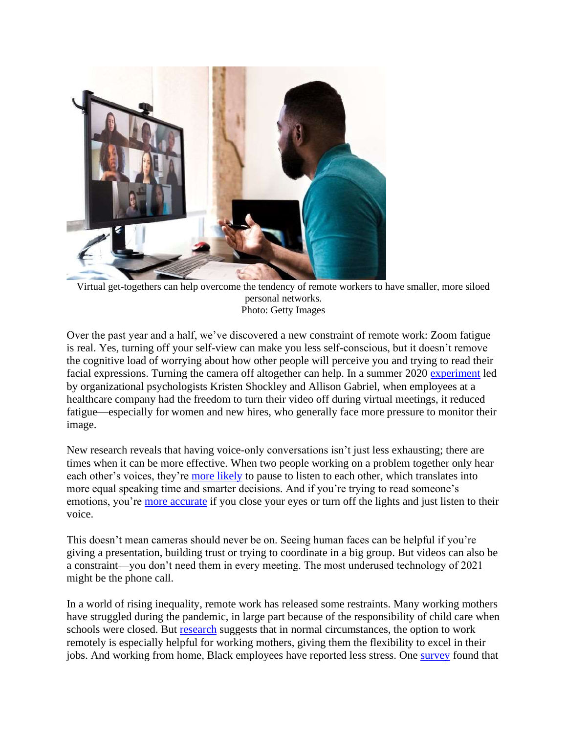

Virtual get-togethers can help overcome the tendency of remote workers to have smaller, more siloed personal networks. Photo: Getty Images

Over the past year and a half, we've discovered a new constraint of remote work: Zoom fatigue is real. Yes, turning off your self-view can make you less self-conscious, but it doesn't remove the cognitive load of worrying about how other people will perceive you and trying to read their facial expressions. Turning the camera off altogether can help. In a summer 2020 [experiment](https://psycnet.apa.org/record/2021-77825-003) led by organizational psychologists Kristen Shockley and Allison Gabriel, when employees at a healthcare company had the freedom to turn their video off during virtual meetings, it reduced fatigue—especially for women and new hires, who generally face more pressure to monitor their image.

New research reveals that having voice-only conversations isn't just less exhausting; there are times when it can be more effective. When two people working on a problem together only hear each other's voices, they're more [likely](https://journals.plos.org/plosone/article?id=10.1371/journal.pone.0247655) to pause to listen to each other, which translates into more equal speaking time and smarter decisions. And if you're trying to read someone's emotions, you're [more accurate](https://psycnet.apa.org/record/2017-43854-002) if you close your eyes or turn off the lights and just listen to their voice.

This doesn't mean cameras should never be on. Seeing human faces can be helpful if you're giving a presentation, building trust or trying to coordinate in a big group. But videos can also be a constraint—you don't need them in every meeting. The most underused technology of 2021 might be the phone call.

In a world of rising inequality, remote work has released some restraints. Many working mothers have struggled during the pandemic, in large part because of the responsibility of child care when schools were closed. But [research](https://pubsonline.informs.org/doi/abs/10.1287/mnsc.2018.3237?casa_token=vP9UfrFaWsIAAAAA:wjppGxYB0lv2H94uLtlXx92sQ7zYhOqrOOec1Ceco-y2FhphR1gBaHlZsyPPNO75GxCqzqICdg) suggests that in normal circumstances, the option to work remotely is especially helpful for working mothers, giving them the flexibility to excel in their jobs. And working from home, Black employees have reported less stress. One [survey](https://www.techrepublic.com/article/slack-survey-finds-97-of-black-knowledge-workers-want-the-future-of-the-office-to-be-remote-or-hybrid/) found that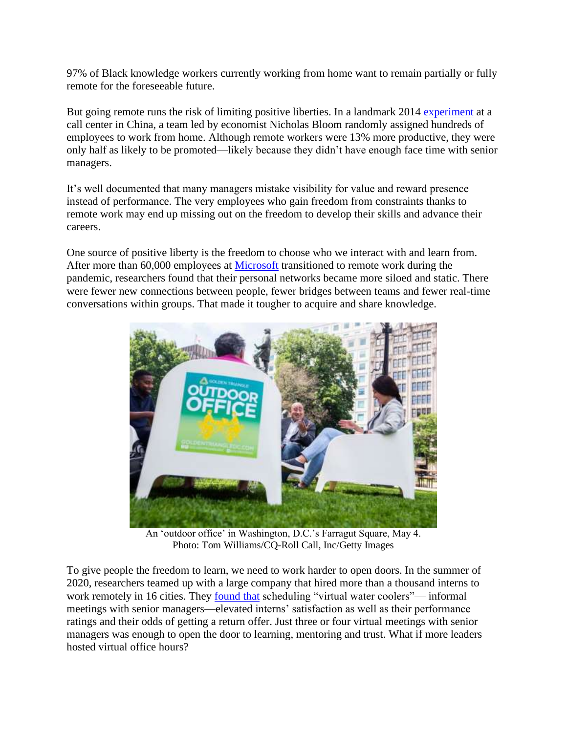97% of Black knowledge workers currently working from home want to remain partially or fully remote for the foreseeable future.

But going remote runs the risk of limiting positive liberties. In a landmark 2014 [experiment](https://academic.oup.com/qje/article-abstract/130/1/165/2337855) at a call center in China, a team led by economist Nicholas Bloom randomly assigned hundreds of employees to work from home. Although remote workers were 13% more productive, they were only half as likely to be promoted—likely because they didn't have enough face time with senior managers.

It's well documented that many managers mistake visibility for value and reward presence instead of performance. The very employees who gain freedom from constraints thanks to remote work may end up missing out on the freedom to develop their skills and advance their careers.

One source of positive liberty is the freedom to choose who we interact with and learn from. After more than 60,000 employees at [Microsoft](https://www.wsj.com/market-data/quotes/MSFT) transitioned to remote work during the pandemic, researchers found that their personal networks became more siloed and static. There were fewer new connections between people, fewer bridges between teams and fewer real-time conversations within groups. That made it tougher to acquire and share knowledge.



An 'outdoor office' in Washington, D.C.'s Farragut Square, May 4. Photo: Tom Williams/CQ-Roll Call, Inc/Getty Images

To give people the freedom to learn, we need to work harder to open doors. In the summer of 2020, researchers teamed up with a large company that hired more than a thousand interns to work remotely in 16 cities. They [found that](https://papers.ssrn.com/sol3/papers.cfm?abstract_id=3855788) scheduling "virtual water coolers"— informal meetings with senior managers—elevated interns' satisfaction as well as their performance ratings and their odds of getting a return offer. Just three or four virtual meetings with senior managers was enough to open the door to learning, mentoring and trust. What if more leaders hosted virtual office hours?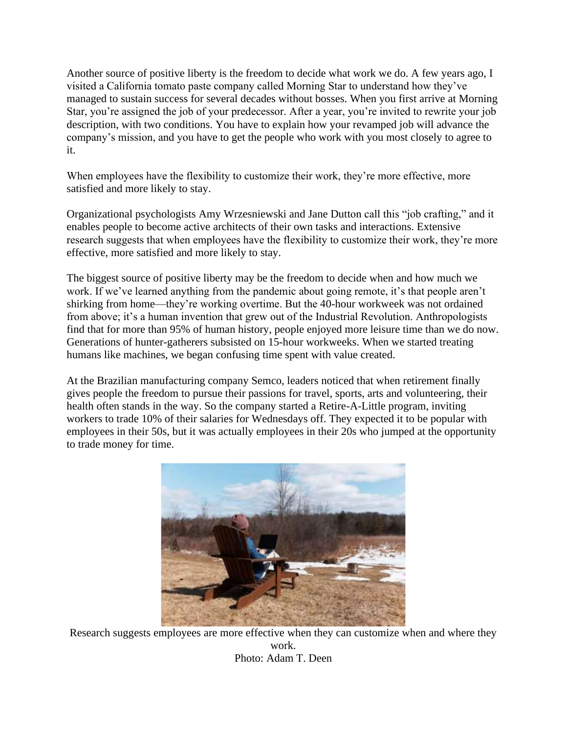Another source of positive liberty is the freedom to decide what work we do. A few years ago, I visited a California tomato paste company called Morning Star to understand how they've managed to sustain success for several decades without bosses. When you first arrive at Morning Star, you're assigned the job of your predecessor. After a year, you're invited to rewrite your job description, with two conditions. You have to explain how your revamped job will advance the company's mission, and you have to get the people who work with you most closely to agree to it.

When employees have the flexibility to customize their work, they're more effective, more satisfied and more likely to stay.

Organizational psychologists Amy Wrzesniewski and Jane Dutton call this "job crafting," and it enables people to become active architects of their own tasks and interactions. Extensive research suggests that when employees have the flexibility to customize their work, they're more effective, more satisfied and more likely to stay.

The biggest source of positive liberty may be the freedom to decide when and how much we work. If we've learned anything from the pandemic about going remote, it's that people aren't shirking from home—they're working overtime. But the 40-hour workweek was not ordained from above; it's a human invention that grew out of the Industrial Revolution. Anthropologists find that for more than 95% of human history, people enjoyed more leisure time than we do now. Generations of hunter-gatherers subsisted on 15-hour workweeks. When we started treating humans like machines, we began confusing time spent with value created.

At the Brazilian manufacturing company Semco, leaders noticed that when retirement finally gives people the freedom to pursue their passions for travel, sports, arts and volunteering, their health often stands in the way. So the company started a Retire-A-Little program, inviting workers to trade 10% of their salaries for Wednesdays off. They expected it to be popular with employees in their 50s, but it was actually employees in their 20s who jumped at the opportunity to trade money for time.



Research suggests employees are more effective when they can customize when and where they work. Photo: Adam T. Deen